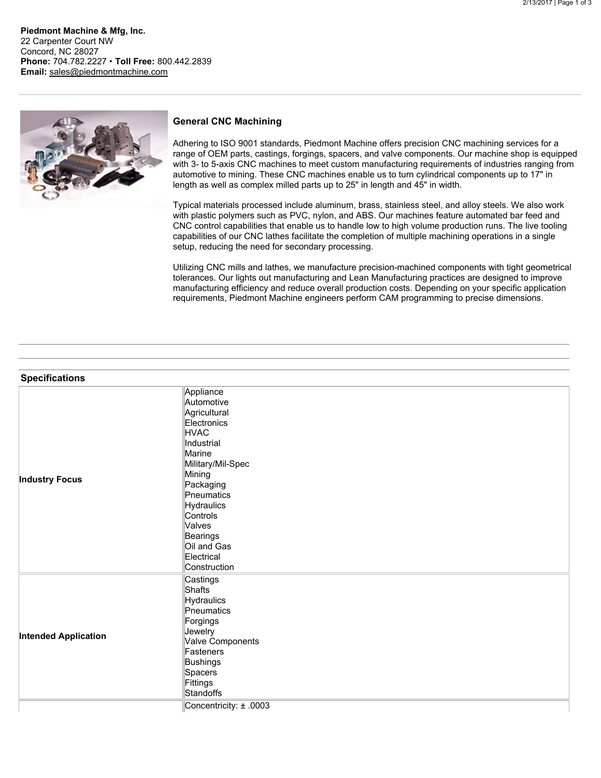**Piedmont Machine & Mfg, Inc.** 22 Carpenter Court NW Concord, NC 28027 **Phone:** 704.782.2227 • **Toll Free:** 800.442.2839 **Email:** [sales@piedmontmachine.com](mailto:sales@piedmontmachine.com)



## **General CNC Machining**

Adhering to ISO 9001 standards, Piedmont Machine offers precision CNC machining services for a range of OEM parts, castings, forgings, spacers, and valve components. Our machine shop is equipped with 3- to 5-axis CNC machines to meet custom manufacturing requirements of industries ranging from automotive to mining. These CNC machines enable us to turn cylindrical components up to 17" in length as well as complex milled parts up to 25" in length and 45" in width.

Typical materials processed include aluminum, brass, stainless steel, and alloy steels. We also work with plastic polymers such as PVC, nylon, and ABS. Our machines feature automated bar feed and CNC control capabilities that enable us to handle low to high volume production runs. The live tooling capabilities of our CNC lathes facilitate the completion of multiple machining operations in a single setup, reducing the need for secondary processing.

Utilizing CNC mills and lathes, we manufacture precision-machined components with tight geometrical tolerances. Our lights out manufacturing and Lean Manufacturing practices are designed to improve manufacturing efficiency and reduce overall production costs. Depending on your specific application requirements, Piedmont Machine engineers perform CAM programming to precise dimensions.

|  |  | <b>Specifications</b> |  |  |
|--|--|-----------------------|--|--|
|  |  |                       |  |  |
|  |  |                       |  |  |
|  |  |                       |  |  |

| <b>Specifications</b>       |                                                                                                                                                                                                                                                             |
|-----------------------------|-------------------------------------------------------------------------------------------------------------------------------------------------------------------------------------------------------------------------------------------------------------|
| <b>Industry Focus</b>       | Appliance<br>Automotive<br>Agricultural<br>Electronics<br><b>HVAC</b><br>Industrial<br>Marine<br>Military/Mil-Spec<br>Mining<br>Packaging<br>Pneumatics<br><b>Hydraulics</b><br>Controls<br>Valves<br>Bearings<br>Oil and Gas<br>Electrical<br>Construction |
| <b>Intended Application</b> | Castings<br><b>Shafts</b><br><b>Hydraulics</b><br>Pneumatics<br>Forgings<br>Jewelry<br>Valve Components<br>Fasteners<br><b>Bushings</b><br>Spacers<br>Fittings<br>Standoffs                                                                                 |
|                             | Concentricity: ± .0003                                                                                                                                                                                                                                      |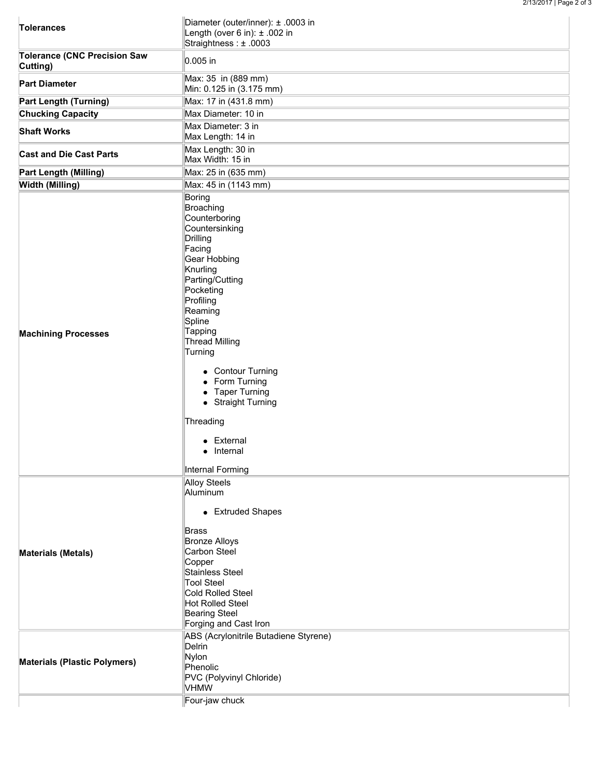| <b>Tolerances</b>                                                | Diameter (outer/inner): ± .0003 in<br>Length (over 6 in): $\pm$ .002 in<br>Straightness: ± .0003                                                                                                                                                                                                                                                                                       |  |  |  |  |  |
|------------------------------------------------------------------|----------------------------------------------------------------------------------------------------------------------------------------------------------------------------------------------------------------------------------------------------------------------------------------------------------------------------------------------------------------------------------------|--|--|--|--|--|
| <b>Tolerance (CNC Precision Saw</b><br>Cutting)                  | 0.005 in                                                                                                                                                                                                                                                                                                                                                                               |  |  |  |  |  |
| <b>Part Diameter</b>                                             | Max: 35 in (889 mm)<br>Min: 0.125 in (3.175 mm)                                                                                                                                                                                                                                                                                                                                        |  |  |  |  |  |
| <b>Part Length (Turning)</b>                                     | Max: 17 in (431.8 mm)                                                                                                                                                                                                                                                                                                                                                                  |  |  |  |  |  |
| <b>Chucking Capacity</b>                                         | Max Diameter: 10 in                                                                                                                                                                                                                                                                                                                                                                    |  |  |  |  |  |
| <b>Shaft Works</b>                                               | Max Diameter: 3 in<br>Max Length: 14 in                                                                                                                                                                                                                                                                                                                                                |  |  |  |  |  |
| <b>Cast and Die Cast Parts</b>                                   | Max Length: 30 in<br>Max Width: 15 in                                                                                                                                                                                                                                                                                                                                                  |  |  |  |  |  |
| <b>Part Length (Milling)</b>                                     | Max: 25 in (635 mm)                                                                                                                                                                                                                                                                                                                                                                    |  |  |  |  |  |
| <b>Width (Milling)</b>                                           | Max: 45 in (1143 mm)                                                                                                                                                                                                                                                                                                                                                                   |  |  |  |  |  |
| <b>Machining Processes</b>                                       | Boring<br>Broaching<br>Counterboring<br>Countersinking<br>Drilling<br>Facing<br>Gear Hobbing<br>Knurling<br>Parting/Cutting<br>Pocketing<br>Profiling<br>Reaming<br>Spline<br>Tapping<br>Thread Milling<br>Turning<br>• Contour Turning<br>• Form Turning<br>• Taper Turning<br>• Straight Turning<br>Threading<br>• External<br>• Internal<br>Internal Forming                        |  |  |  |  |  |
| <b>Materials (Metals)</b><br><b>Materials (Plastic Polymers)</b> | <b>Alloy Steels</b><br>Aluminum<br>• Extruded Shapes<br><b>Brass</b><br><b>Bronze Alloys</b><br>Carbon Steel<br>Copper<br>Stainless Steel<br><b>Tool Steel</b><br>Cold Rolled Steel<br>Hot Rolled Steel<br><b>Bearing Steel</b><br>Forging and Cast Iron<br>ABS (Acrylonitrile Butadiene Styrene)<br>Delrin<br>Nylon<br>Phenolic<br>PVC (Polyvinyl Chloride)<br>VHMW<br>Four-jaw chuck |  |  |  |  |  |